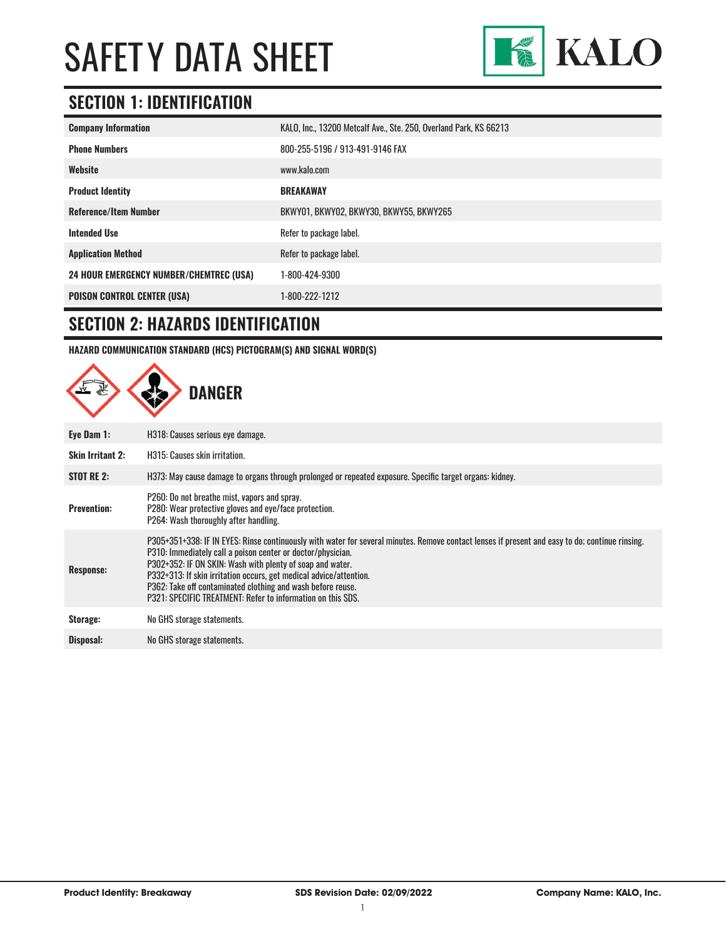

### **SECTION 1: IDENTIFICATION**

| <b>Company Information</b>                     | KALO, Inc., 13200 Metcalf Ave., Ste. 250, Overland Park, KS 66213 |
|------------------------------------------------|-------------------------------------------------------------------|
| <b>Phone Numbers</b>                           | 800-255-5196 / 913-491-9146 FAX                                   |
| Website                                        | www.kalo.com                                                      |
| <b>Product Identity</b>                        | <b>BREAKAWAY</b>                                                  |
| <b>Reference/Item Number</b>                   | BKWY01, BKWY02, BKWY30, BKWY55, BKWY265                           |
| <b>Intended Use</b>                            | Refer to package label.                                           |
| <b>Application Method</b>                      | Refer to package label.                                           |
| <b>24 HOUR EMERGENCY NUMBER/CHEMTREC (USA)</b> | 1-800-424-9300                                                    |
| <b>POISON CONTROL CENTER (USA)</b>             | 1-800-222-1212                                                    |

#### **SECTION 2: HAZARDS IDENTIFICATION**

**HAZARD COMMUNICATION STANDARD (HCS) PICTOGRAM(S) AND SIGNAL WORD(S)**

|                         | <b>DANGER</b>                                                                                                                                                                                                                                                                                                                                                                                                                                                                   |
|-------------------------|---------------------------------------------------------------------------------------------------------------------------------------------------------------------------------------------------------------------------------------------------------------------------------------------------------------------------------------------------------------------------------------------------------------------------------------------------------------------------------|
| Eye Dam 1:              | H318: Causes serious eye damage.                                                                                                                                                                                                                                                                                                                                                                                                                                                |
| <b>Skin Irritant 2:</b> | H315: Causes skin irritation.                                                                                                                                                                                                                                                                                                                                                                                                                                                   |
| STOT RE 2:              | H373: May cause damage to organs through prolonged or repeated exposure. Specific target organs: kidney.                                                                                                                                                                                                                                                                                                                                                                        |
| <b>Prevention:</b>      | P260: Do not breathe mist, vapors and spray.<br>P280: Wear protective gloves and eye/face protection.<br>P264: Wash thoroughly after handling.                                                                                                                                                                                                                                                                                                                                  |
| Response:               | P305+351+338: IF IN EYES: Rinse continuously with water for several minutes. Remove contact lenses if present and easy to do; continue rinsing.<br>P310: Immediately call a poison center or doctor/physician.<br>P302+352: IF ON SKIN: Wash with plenty of soap and water.<br>P332+313: If skin irritation occurs, get medical advice/attention.<br>P362: Take off contaminated clothing and wash before reuse.<br>P321: SPECIFIC TREATMENT: Refer to information on this SDS. |
| Storage:                | No GHS storage statements.                                                                                                                                                                                                                                                                                                                                                                                                                                                      |
| Disposal:               | No GHS storage statements.                                                                                                                                                                                                                                                                                                                                                                                                                                                      |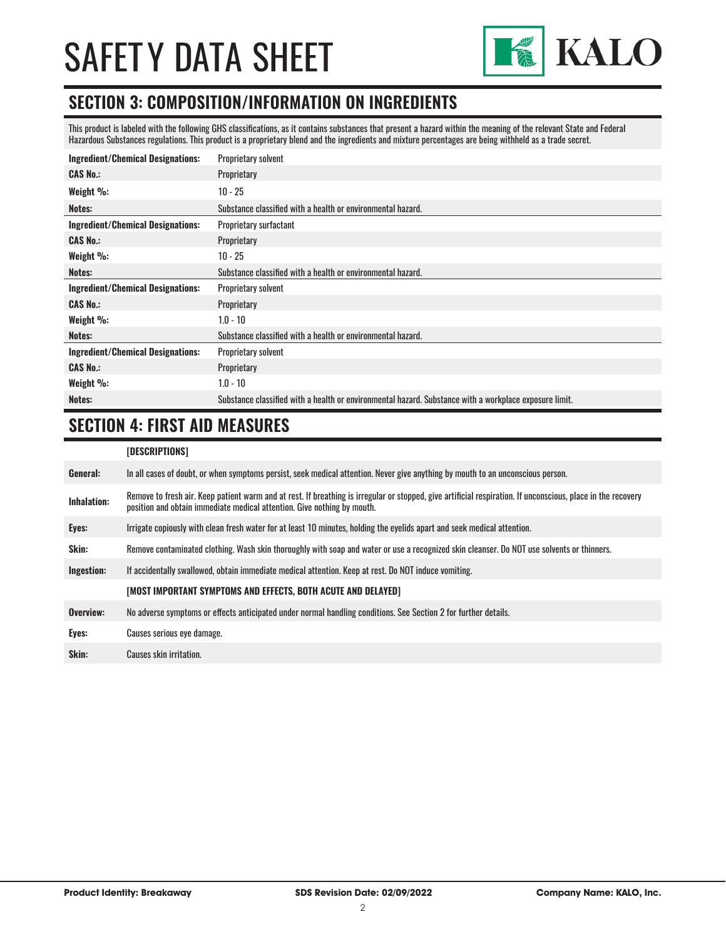

#### **SECTION 3: COMPOSITION/INFORMATION ON INGREDIENTS**

This product is labeled with the following GHS classifications, as it contains substances that present a hazard within the meaning of the relevant State and Federal Hazardous Substances regulations. This product is a proprietary blend and the ingredients and mixture percentages are being withheld as a trade secret.

| <b>Ingredient/Chemical Designations:</b> | <b>Proprietary solvent</b>                                                                             |
|------------------------------------------|--------------------------------------------------------------------------------------------------------|
| <b>CAS No.:</b>                          | Proprietary                                                                                            |
| Weight $\%$ :                            | $10 - 25$                                                                                              |
| Notes:                                   | Substance classified with a health or environmental hazard.                                            |
| <b>Ingredient/Chemical Designations:</b> | Proprietary surfactant                                                                                 |
| <b>CAS No.:</b>                          | Proprietary                                                                                            |
| Weight %:                                | $10 - 25$                                                                                              |
| Notes:                                   | Substance classified with a health or environmental hazard.                                            |
| <b>Ingredient/Chemical Designations:</b> | <b>Proprietary solvent</b>                                                                             |
| <b>CAS No.:</b>                          | Proprietary                                                                                            |
| Weight %:                                | $1.0 - 10$                                                                                             |
| Notes:                                   | Substance classified with a health or environmental hazard.                                            |
| <b>Ingredient/Chemical Designations:</b> | <b>Proprietary solvent</b>                                                                             |
| <b>CAS No.:</b>                          | Proprietary                                                                                            |
| Weight %:                                | $1.0 - 10$                                                                                             |
| Notes:                                   | Substance classified with a health or environmental hazard. Substance with a workplace exposure limit. |

#### **SECTION 4: FIRST AID MEASURES**

| [DESCRIPTIONS] |  |
|----------------|--|
|----------------|--|

| General:    | In all cases of doubt, or when symptoms persist, seek medical attention. Never give anything by mouth to an unconscious person.                                                                                                         |
|-------------|-----------------------------------------------------------------------------------------------------------------------------------------------------------------------------------------------------------------------------------------|
| Inhalation: | Remove to fresh air. Keep patient warm and at rest. If breathing is irregular or stopped, give artificial respiration. If unconscious, place in the recovery<br>position and obtain immediate medical attention. Give nothing by mouth. |
| Eyes:       | Irrigate copiously with clean fresh water for at least 10 minutes, holding the eyelids apart and seek medical attention.                                                                                                                |
| Skin:       | Remove contaminated clothing. Wash skin thoroughly with soap and water or use a recognized skin cleanser. Do NOT use solvents or thinners.                                                                                              |
| Ingestion:  | If accidentally swallowed, obtain immediate medical attention. Keep at rest, Do NOT induce vomiting.                                                                                                                                    |
|             | [MOST IMPORTANT SYMPTOMS AND EFFECTS, BOTH ACUTE AND DELAYED]                                                                                                                                                                           |
| Overview:   | No adverse symptoms or effects anticipated under normal handling conditions. See Section 2 for further details.                                                                                                                         |
| Eyes:       | Causes serious eye damage.                                                                                                                                                                                                              |
| Skin:       | <b>Causes skin irritation.</b>                                                                                                                                                                                                          |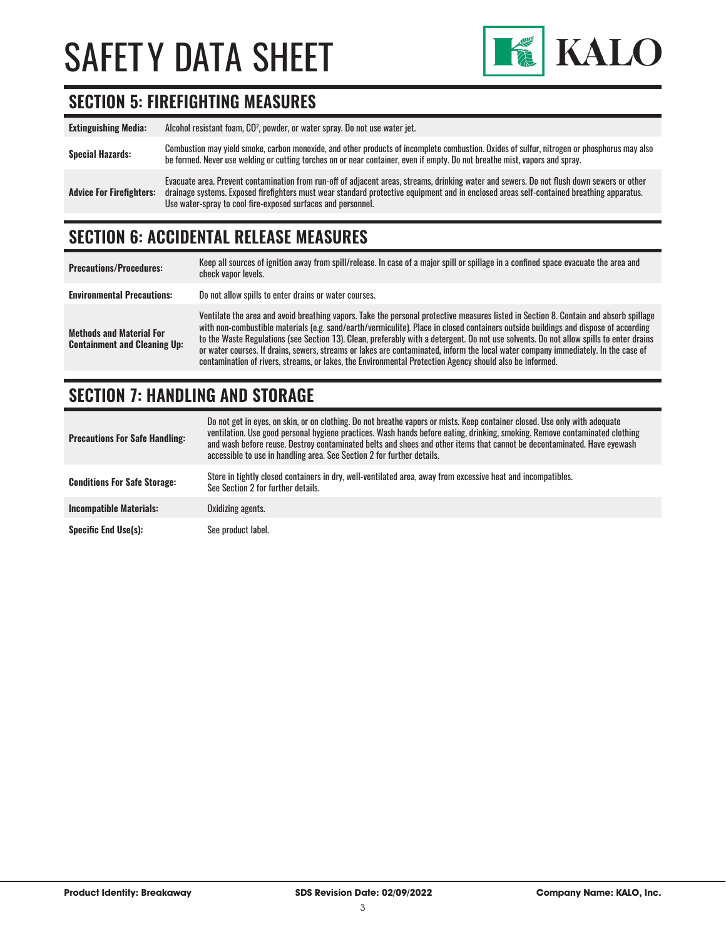

### **SECTION 5: FIREFIGHTING MEASURES**

| <b>Extinguishing Media:</b>     | Alcohol resistant foam, CO <sup>2</sup> , powder, or water spray. Do not use water jet.                                                                                                                                                                                                                                                                |
|---------------------------------|--------------------------------------------------------------------------------------------------------------------------------------------------------------------------------------------------------------------------------------------------------------------------------------------------------------------------------------------------------|
| <b>Special Hazards:</b>         | Combustion may yield smoke, carbon monoxide, and other products of incomplete combustion. Oxides of sulfur, nitrogen or phosphorus may also<br>be formed. Never use welding or cutting torches on or near container, even if empty. Do not breathe mist, vapors and spray.                                                                             |
| <b>Advice For Firefighters:</b> | Evacuate area. Prevent contamination from run-off of adjacent areas, streams, drinking water and sewers. Do not flush down sewers or other<br>drainage systems. Exposed firefighters must wear standard protective equipment and in enclosed areas self-contained breathing apparatus.<br>Use water-spray to cool fire-exposed surfaces and personnel. |

### **SECTION 6: ACCIDENTAL RELEASE MEASURES**

| <b>Precautions/Procedures:</b>                                         | Keep all sources of ignition away from spill/release. In case of a major spill or spillage in a confined space evacuate the area and<br>check vapor levels.                                                                                                                                                                                                                                                                                                                                                                                                                                                                                                               |
|------------------------------------------------------------------------|---------------------------------------------------------------------------------------------------------------------------------------------------------------------------------------------------------------------------------------------------------------------------------------------------------------------------------------------------------------------------------------------------------------------------------------------------------------------------------------------------------------------------------------------------------------------------------------------------------------------------------------------------------------------------|
| <b>Environmental Precautions:</b>                                      | Do not allow spills to enter drains or water courses.                                                                                                                                                                                                                                                                                                                                                                                                                                                                                                                                                                                                                     |
| <b>Methods and Material For</b><br><b>Containment and Cleaning Up:</b> | Ventilate the area and avoid breathing vapors. Take the personal protective measures listed in Section 8. Contain and absorb spillage<br>with non-combustible materials (e.g. sand/earth/vermiculite). Place in closed containers outside buildings and dispose of according<br>to the Waste Regulations (see Section 13). Clean, preferably with a detergent. Do not use solvents. Do not allow spills to enter drains<br>or water courses. If drains, sewers, streams or lakes are contaminated, inform the local water company immediately. In the case of<br>contamination of rivers, streams, or lakes, the Environmental Protection Agency should also be informed. |

### **SECTION 7: HANDLING AND STORAGE**

| <b>Precautions For Safe Handling:</b> | Do not get in eyes, on skin, or on clothing. Do not breathe vapors or mists. Keep container closed. Use only with adequate<br>ventilation. Use good personal hygiene practices. Wash hands before eating, drinking, smoking. Remove contaminated clothing<br>and wash before reuse. Destroy contaminated belts and shoes and other items that cannot be decontaminated. Have evewash<br>accessible to use in handling area. See Section 2 for further details. |
|---------------------------------------|----------------------------------------------------------------------------------------------------------------------------------------------------------------------------------------------------------------------------------------------------------------------------------------------------------------------------------------------------------------------------------------------------------------------------------------------------------------|
| <b>Conditions For Safe Storage:</b>   | Store in tightly closed containers in dry, well-ventilated area, away from excessive heat and incompatibles.<br>See Section 2 for further details.                                                                                                                                                                                                                                                                                                             |
| <b>Incompatible Materials:</b>        | Oxidizing agents.                                                                                                                                                                                                                                                                                                                                                                                                                                              |
| <b>Specific End Use(s):</b>           | See product label.                                                                                                                                                                                                                                                                                                                                                                                                                                             |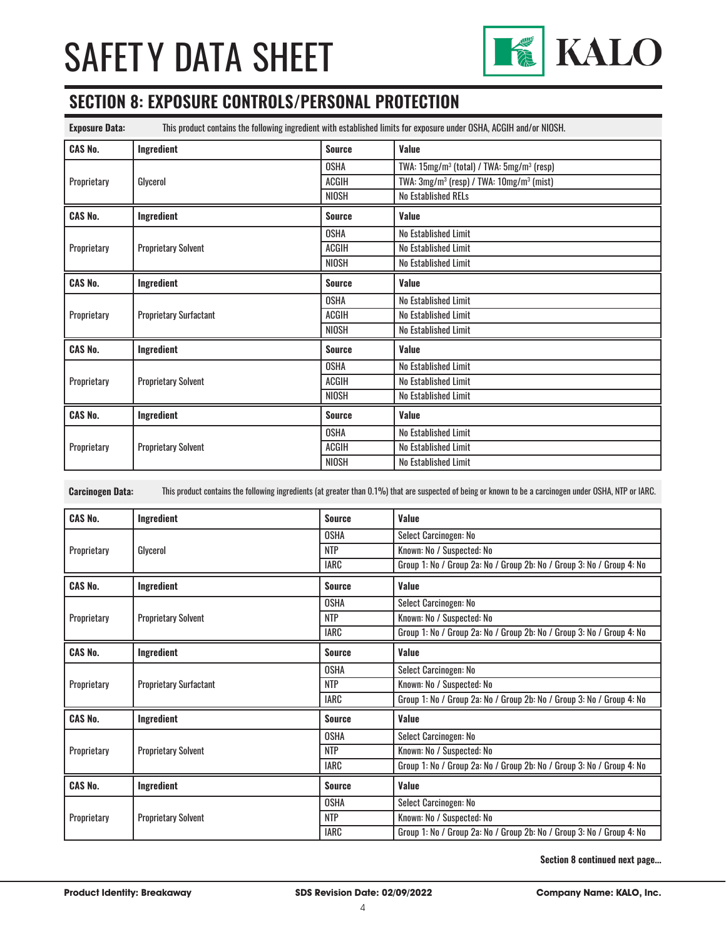

### **SECTION 8: EXPOSURE CONTROLS/PERSONAL PROTECTION**

| <b>Exposure Data:</b> | This product contains the following ingredient with established limits for exposure under OSHA, ACGIH and/or NIOSH. |               |                                                                   |  |
|-----------------------|---------------------------------------------------------------------------------------------------------------------|---------------|-------------------------------------------------------------------|--|
| <b>CAS No.</b>        | Ingredient                                                                                                          | <b>Source</b> | Value                                                             |  |
| Proprietary           | Glycerol                                                                                                            | OSHA          | TWA: 15mg/m <sup>3</sup> (total) / TWA: 5mg/m <sup>3</sup> (resp) |  |
|                       |                                                                                                                     | ACGIH         | TWA: 3mg/m <sup>3</sup> (resp) / TWA: 10mg/m <sup>3</sup> (mist)  |  |
|                       |                                                                                                                     | <b>NIOSH</b>  | No Established RELs                                               |  |
| <b>CAS No.</b>        | Ingredient                                                                                                          | <b>Source</b> | <b>Value</b>                                                      |  |
|                       |                                                                                                                     | OSHA          | No Established Limit                                              |  |
| Proprietary           | <b>Proprietary Solvent</b>                                                                                          | ACGIH         | No Established Limit                                              |  |
|                       |                                                                                                                     | <b>NIOSH</b>  | No Established Limit                                              |  |
| <b>CAS No.</b>        | Ingredient                                                                                                          | <b>Source</b> | Value                                                             |  |
|                       | <b>Proprietary Surfactant</b>                                                                                       | <b>OSHA</b>   | No Established Limit                                              |  |
| Proprietary           |                                                                                                                     | ACGIH         | No Established Limit                                              |  |
|                       |                                                                                                                     | <b>NIOSH</b>  | No Established Limit                                              |  |
| <b>CAS No.</b>        | Ingredient                                                                                                          | <b>Source</b> | Value                                                             |  |
|                       | <b>Proprietary Solvent</b>                                                                                          | <b>OSHA</b>   | No Established Limit                                              |  |
| Proprietary           |                                                                                                                     | ACGIH         | No Established Limit                                              |  |
|                       |                                                                                                                     | <b>NIOSH</b>  | No Established Limit                                              |  |
| <b>CAS No.</b>        | Ingredient                                                                                                          | <b>Source</b> | <b>Value</b>                                                      |  |
|                       |                                                                                                                     | <b>OSHA</b>   | No Established Limit                                              |  |
| Proprietary           | <b>Proprietary Solvent</b>                                                                                          | <b>ACGIH</b>  | No Established Limit                                              |  |
|                       |                                                                                                                     | <b>NIOSH</b>  | No Established Limit                                              |  |

**Carcinogen Data:** This product contains the following ingredients (at greater than 0.1%) that are suspected of being or known to be a carcinogen under OSHA, NTP or IARC.

| <b>CAS No.</b> | Ingredient                    | <b>Source</b> | Value                                                                 |
|----------------|-------------------------------|---------------|-----------------------------------------------------------------------|
| Proprietary    | Glycerol                      | <b>OSHA</b>   | Select Carcinogen: No                                                 |
|                |                               | <b>NTP</b>    | Known: No / Suspected: No                                             |
|                |                               | <b>IARC</b>   | Group 1: No / Group 2a: No / Group 2b: No / Group 3: No / Group 4: No |
| <b>CAS No.</b> | Ingredient                    | <b>Source</b> | Value                                                                 |
|                |                               | <b>OSHA</b>   | Select Carcinogen: No                                                 |
| Proprietary    | <b>Proprietary Solvent</b>    | <b>NTP</b>    | Known: No / Suspected: No                                             |
|                |                               | <b>IARC</b>   | Group 1: No / Group 2a: No / Group 2b: No / Group 3: No / Group 4: No |
| <b>CAS No.</b> | Ingredient                    | <b>Source</b> | Value                                                                 |
| Proprietary    |                               | <b>OSHA</b>   | Select Carcinogen: No                                                 |
|                | <b>Proprietary Surfactant</b> | <b>NTP</b>    | Known: No / Suspected: No                                             |
|                |                               | <b>IARC</b>   | Group 1: No / Group 2a: No / Group 2b: No / Group 3: No / Group 4: No |
| <b>CAS No.</b> | Ingredient                    | <b>Source</b> | Value                                                                 |
|                |                               | <b>OSHA</b>   | Select Carcinogen: No                                                 |
| Proprietary    | <b>Proprietary Solvent</b>    | <b>NTP</b>    | Known: No / Suspected: No                                             |
|                |                               | <b>IARC</b>   | Group 1: No / Group 2a: No / Group 2b: No / Group 3: No / Group 4: No |
| <b>CAS No.</b> | Ingredient                    | <b>Source</b> | Value                                                                 |
|                |                               | <b>OSHA</b>   | Select Carcinogen: No                                                 |
| Proprietary    | <b>Proprietary Solvent</b>    | <b>NTP</b>    | Known: No / Suspected: No                                             |
|                |                               | IARC          | Group 1: No / Group 2a: No / Group 2b: No / Group 3: No / Group 4: No |

**Section 8 continued next page...**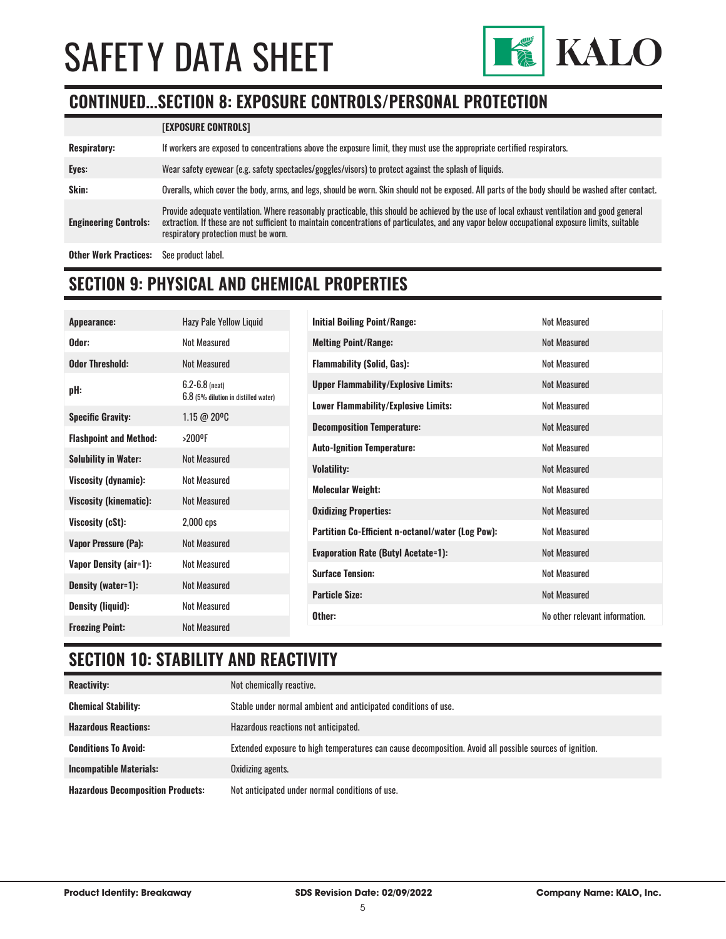

### **CONTINUED...SECTION 8: EXPOSURE CONTROLS/PERSONAL PROTECTION**

|                              | <b>[EXPOSURE CONTROLS]</b>                                                                                                                                                                                                                                                                                                             |
|------------------------------|----------------------------------------------------------------------------------------------------------------------------------------------------------------------------------------------------------------------------------------------------------------------------------------------------------------------------------------|
| <b>Respiratory:</b>          | If workers are exposed to concentrations above the exposure limit, they must use the appropriate certified respirators.                                                                                                                                                                                                                |
| Eyes:                        | Wear safety eyewear (e.g. safety spectacles/goggles/visors) to protect against the splash of liquids.                                                                                                                                                                                                                                  |
| Skin:                        | Overalls, which cover the body, arms, and legs, should be worn. Skin should not be exposed. All parts of the body should be washed after contact.                                                                                                                                                                                      |
| <b>Engineering Controls:</b> | Provide adequate ventilation. Where reasonably practicable, this should be achieved by the use of local exhaust ventilation and good general<br>extraction. If these are not sufficient to maintain concentrations of particulates, and any vapor below occupational exposure limits, suitable<br>respiratory protection must be worn. |
| <b>Other Work Practices:</b> | See product label.                                                                                                                                                                                                                                                                                                                     |

#### **SECTION 9: PHYSICAL AND CHEMICAL PROPERTIES**

| Appearance:                   | Hazy Pale Yellow Liquid                                    | <b>Initial Boiling Point/Range:</b>                      | <b>Not Measured</b>            |
|-------------------------------|------------------------------------------------------------|----------------------------------------------------------|--------------------------------|
| Odor:                         | Not Measured                                               | <b>Melting Point/Range:</b>                              | <b>Not Measured</b>            |
| <b>Odor Threshold:</b>        | <b>Not Measured</b>                                        | <b>Flammability (Solid, Gas):</b>                        | Not Measured                   |
| pH:                           | $6.2 - 6.8$ (neat)<br>6.8 (5% dilution in distilled water) | <b>Upper Flammability/Explosive Limits:</b>              | Not Measured                   |
| <b>Specific Gravity:</b>      | $1.15 \ @ \ 20\degree \text{C}$                            | <b>Lower Flammability/Explosive Limits:</b>              | <b>Not Measured</b>            |
|                               |                                                            | <b>Decomposition Temperature:</b>                        | Not Measured                   |
| <b>Flashpoint and Method:</b> | >200°F                                                     | <b>Auto-Ignition Temperature:</b>                        | Not Measured                   |
| <b>Solubility in Water:</b>   | Not Measured                                               |                                                          |                                |
| Viscosity (dynamic):          | Not Measured                                               | <b>Volatility:</b>                                       | Not Measured                   |
|                               |                                                            | <b>Molecular Weight:</b>                                 | <b>Not Measured</b>            |
| <b>Viscosity (kinematic):</b> | Not Measured                                               | <b>Oxidizing Properties:</b>                             | Not Measured                   |
| Viscosity (cSt):              | $2,000$ cps                                                |                                                          |                                |
|                               | <b>Not Measured</b>                                        | <b>Partition Co-Efficient n-octanol/water (Log Pow):</b> | Not Measured                   |
| Vapor Pressure (Pa):          |                                                            | <b>Evaporation Rate (Butyl Acetate=1):</b>               | Not Measured                   |
| Vapor Density (air=1):        | <b>Not Measured</b>                                        |                                                          |                                |
|                               |                                                            | <b>Surface Tension:</b>                                  | Not Measured                   |
| Density (water=1):            | Not Measured                                               | <b>Particle Size:</b>                                    | Not Measured                   |
| <b>Density (liquid):</b>      | Not Measured                                               |                                                          |                                |
|                               |                                                            | Other:                                                   | No other relevant information. |
| <b>Freezing Point:</b>        | <b>Not Measured</b>                                        |                                                          |                                |

### **SECTION 10: STABILITY AND REACTIVITY**

| <b>Reactivity:</b>                       | Not chemically reactive.                                                                                |
|------------------------------------------|---------------------------------------------------------------------------------------------------------|
| <b>Chemical Stability:</b>               | Stable under normal ambient and anticipated conditions of use.                                          |
| <b>Hazardous Reactions:</b>              | Hazardous reactions not anticipated.                                                                    |
| <b>Conditions To Avoid:</b>              | Extended exposure to high temperatures can cause decomposition. Avoid all possible sources of ignition. |
| <b>Incompatible Materials:</b>           | Oxidizing agents.                                                                                       |
| <b>Hazardous Decomposition Products:</b> | Not anticipated under normal conditions of use.                                                         |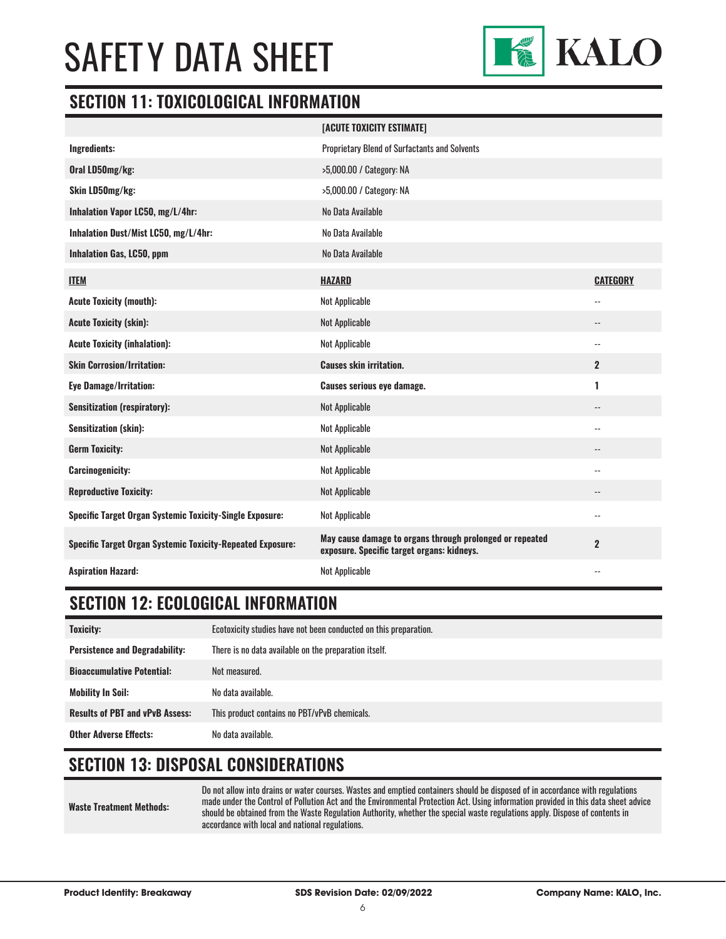

#### **SECTION 11: TOXICOLOGICAL INFORMATION**

|                                                                   | [ACUTE TOXICITY ESTIMATE]                                                                              |                          |
|-------------------------------------------------------------------|--------------------------------------------------------------------------------------------------------|--------------------------|
| Ingredients:                                                      | <b>Proprietary Blend of Surfactants and Solvents</b>                                                   |                          |
| Oral LD50mg/kg:                                                   | >5,000.00 / Category: NA                                                                               |                          |
| Skin LD50mg/kg:                                                   | >5,000.00 / Category: NA                                                                               |                          |
| Inhalation Vapor LC50, mg/L/4hr:                                  | No Data Available                                                                                      |                          |
| Inhalation Dust/Mist LC50, mg/L/4hr:                              | No Data Available                                                                                      |                          |
| Inhalation Gas, LC50, ppm                                         | No Data Available                                                                                      |                          |
| <b>ITEM</b>                                                       | <b>HAZARD</b>                                                                                          | <b>CATEGORY</b>          |
| <b>Acute Toxicity (mouth):</b>                                    | <b>Not Applicable</b>                                                                                  | $\overline{a}$           |
| <b>Acute Toxicity (skin):</b>                                     | <b>Not Applicable</b>                                                                                  | $\overline{\phantom{a}}$ |
| <b>Acute Toxicity (inhalation):</b>                               | Not Applicable                                                                                         | $-$                      |
| <b>Skin Corrosion/Irritation:</b>                                 | <b>Causes skin irritation.</b>                                                                         | $\overline{2}$           |
| <b>Eye Damage/Irritation:</b>                                     | <b>Causes serious eye damage.</b>                                                                      | 1                        |
| <b>Sensitization (respiratory):</b>                               | <b>Not Applicable</b>                                                                                  | --                       |
| <b>Sensitization (skin):</b>                                      | Not Applicable                                                                                         | $-$                      |
| <b>Germ Toxicity:</b>                                             | <b>Not Applicable</b>                                                                                  | $\overline{\phantom{a}}$ |
| <b>Carcinogenicity:</b>                                           | Not Applicable                                                                                         | $-$                      |
| <b>Reproductive Toxicity:</b>                                     | <b>Not Applicable</b>                                                                                  |                          |
| <b>Specific Target Organ Systemic Toxicity-Single Exposure:</b>   | Not Applicable                                                                                         | $-$                      |
| <b>Specific Target Organ Systemic Toxicity-Repeated Exposure:</b> | May cause damage to organs through prolonged or repeated<br>exposure. Specific target organs: kidneys. | $\mathbf{2}$             |
| <b>Aspiration Hazard:</b>                                         | Not Applicable                                                                                         | $-$                      |

### **SECTION 12: ECOLOGICAL INFORMATION**

| Toxicity:                              | Ecotoxicity studies have not been conducted on this preparation. |
|----------------------------------------|------------------------------------------------------------------|
| <b>Persistence and Degradability:</b>  | There is no data available on the preparation itself.            |
| <b>Bioaccumulative Potential:</b>      | Not measured.                                                    |
| <b>Mobility In Soil:</b>               | No data available.                                               |
| <b>Results of PBT and vPvB Assess:</b> | This product contains no PBT/vPvB chemicals.                     |
| <b>Other Adverse Effects:</b>          | No data available.                                               |

### **SECTION 13: DISPOSAL CONSIDERATIONS**

**Waste Treatment Methods:**

Do not allow into drains or water courses. Wastes and emptied containers should be disposed of in accordance with regulations made under the Control of Pollution Act and the Environmental Protection Act. Using information provided in this data sheet advice should be obtained from the Waste Regulation Authority, whether the special waste regulations apply. Dispose of contents in accordance with local and national regulations.